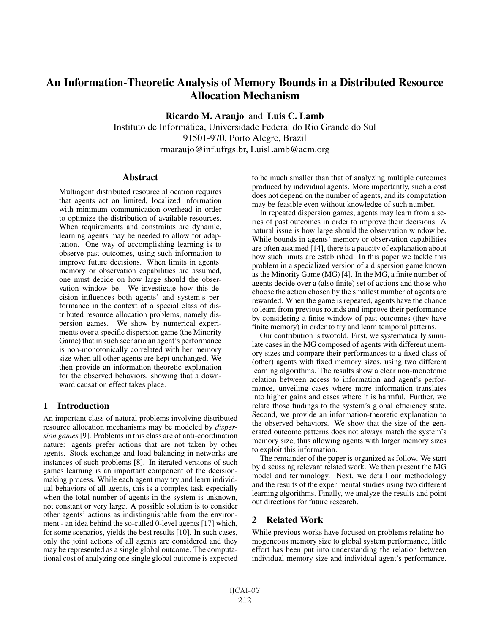# An Information-Theoretic Analysis of Memory Bounds in a Distributed Resource Allocation Mechanism

Ricardo M. Araujo and Luis C. Lamb

Instituto de Informatica, Universidade Federal do Rio Grande do Sul ´ 91501-970, Porto Alegre, Brazil rmaraujo@inf.ufrgs.br, LuisLamb@acm.org

#### Abstract

Multiagent distributed resource allocation requires that agents act on limited, localized information with minimum communication overhead in order to optimize the distribution of available resources. When requirements and constraints are dynamic, learning agents may be needed to allow for adaptation. One way of accomplishing learning is to observe past outcomes, using such information to improve future decisions. When limits in agents' memory or observation capabilities are assumed, one must decide on how large should the observation window be. We investigate how this decision influences both agents' and system's performance in the context of a special class of distributed resource allocation problems, namely dispersion games. We show by numerical experiments over a specific dispersion game (the Minority Game) that in such scenario an agent's performance is non-monotonically correlated with her memory size when all other agents are kept unchanged. We then provide an information-theoretic explanation for the observed behaviors, showing that a downward causation effect takes place.

# 1 Introduction

An important class of natural problems involving distributed resource allocation mechanisms may be modeled by *dispersion games* [9]. Problems in this class are of anti-coordination nature: agents prefer actions that are not taken by other agents. Stock exchange and load balancing in networks are instances of such problems [8]. In iterated versions of such games learning is an important component of the decisionmaking process. While each agent may try and learn individual behaviors of all agents, this is a complex task especially when the total number of agents in the system is unknown, not constant or very large. A possible solution is to consider other agents' actions as indistinguishable from the environment - an idea behind the so-called 0-level agents [17] which, for some scenarios, yields the best results [10]. In such cases, only the joint actions of all agents are considered and they may be represented as a single global outcome. The computational cost of analyzing one single global outcome is expected to be much smaller than that of analyzing multiple outcomes produced by individual agents. More importantly, such a cost does not depend on the number of agents, and its computation may be feasible even without knowledge of such number.

In repeated dispersion games, agents may learn from a series of past outcomes in order to improve their decisions. A natural issue is how large should the observation window be. While bounds in agents' memory or observation capabilities are often assumed [14], there is a paucity of explanation about how such limits are established. In this paper we tackle this problem in a specialized version of a dispersion game known as the Minority Game (MG) [4]. In the MG, a finite number of agents decide over a (also finite) set of actions and those who choose the action chosen by the smallest number of agents are rewarded. When the game is repeated, agents have the chance to learn from previous rounds and improve their performance by considering a finite window of past outcomes (they have finite memory) in order to try and learn temporal patterns.

Our contribution is twofold. First, we systematically simulate cases in the MG composed of agents with different memory sizes and compare their performances to a fixed class of (other) agents with fixed memory sizes, using two different learning algorithms. The results show a clear non-monotonic relation between access to information and agent's performance, unveiling cases where more information translates into higher gains and cases where it is harmful. Further, we relate those findings to the system's global efficiency state. Second, we provide an information-theoretic explanation to the observed behaviors. We show that the size of the generated outcome patterns does not always match the system's memory size, thus allowing agents with larger memory sizes to exploit this information.

The remainder of the paper is organized as follow. We start by discussing relevant related work. We then present the MG model and terminology. Next, we detail our methodology and the results of the experimental studies using two different learning algorithms. Finally, we analyze the results and point out directions for future research.

# 2 Related Work

While previous works have focused on problems relating homogeneous memory size to global system performance, little effort has been put into understanding the relation between individual memory size and individual agent's performance.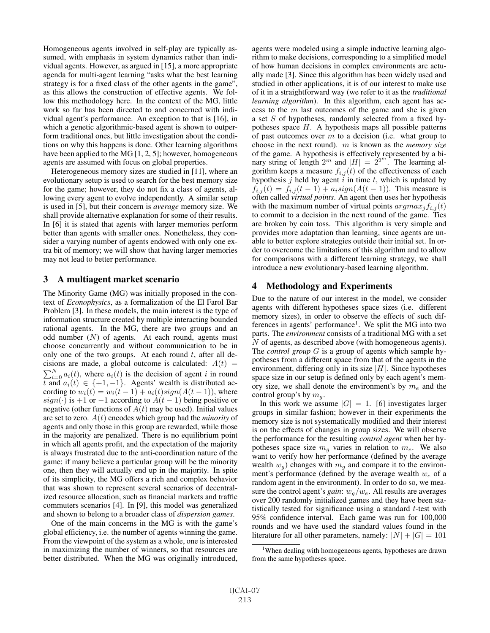Homogeneous agents involved in self-play are typically assumed, with emphasis in system dynamics rather than individual agents. However, as argued in [15], a more appropriate agenda for multi-agent learning "asks what the best learning strategy is for a fixed class of the other agents in the game", as this allows the construction of effective agents. We follow this methodology here. In the context of the MG, little work so far has been directed to and concerned with individual agent's performance. An exception to that is [16], in which a genetic algorithmic-based agent is shown to outperform traditional ones, but little investigation about the conditions on why this happens is done. Other learning algorithms have been applied to the MG [1, 2, 5]; however, homogeneous agents are assumed with focus on global properties.

Heterogeneous memory sizes are studied in [11], where an evolutionary setup is used to search for the best memory size for the game; however, they do not fix a class of agents, allowing every agent to evolve independently. A similar setup is used in [5], but their concern is *average* memory size. We shall provide alternative explanation for some of their results. In [6] it is stated that agents with larger memories perform better than agents with smaller ones. Nonetheless, they consider a varying number of agents endowed with only one extra bit of memory; we will show that having larger memories may not lead to better performance.

### 3 A multiagent market scenario

The Minority Game (MG) was initially proposed in the context of *Econophysics*, as a formalization of the El Farol Bar Problem [3]. In these models, the main interest is the type of information structure created by multiple interacting bounded rational agents. In the MG, there are two groups and an odd number  $(N)$  of agents. At each round, agents must choose concurrently and without communication to be in only one of the two groups. At each round  $t$ , after all decisions are made, a global outcome is calculated:  $A(t)$  =  $\sum_{i=0}^{N} a_i(t)$ , where  $a_i(t)$  is the decision of agent i in round<br>t and  $a_i(t) \in \{+1, -1\}$ . Agents' wealth is distributed act and  $a_i(t) \in \{+1, -1\}$ . Agents' wealth is distributed according to  $w_i(t) = w_i(t-1) + a_i(t)sign(A(t-1))$ , where  $sign(\cdot)$  is +1 or −1 according to  $A(t-1)$  being positive or negative (other functions of  $A(t)$  may be used). Initial values are set to zero. A(t) encodes which group had the *minority* of agents and only those in this group are rewarded, while those in the majority are penalized. There is no equilibrium point in which all agents profit, and the expectation of the majority is always frustrated due to the anti-coordination nature of the game: if many believe a particular group will be the minority one, then they will actually end up in the majority. In spite of its simplicity, the MG offers a rich and complex behavior that was shown to represent several scenarios of decentralized resource allocation, such as financial markets and traffic commuters scenarios [4]. In [9], this model was generalized and shown to belong to a broader class of *dispersion games*.

One of the main concerns in the MG is with the game's global efficiency, i.e. the number of agents winning the game. From the viewpoint of the system as a whole, one is interested in maximizing the number of winners, so that resources are better distributed. When the MG was originally introduced, agents were modeled using a simple inductive learning algorithm to make decisions, corresponding to a simplified model of how human decisions in complex environments are actually made [3]. Since this algorithm has been widely used and studied in other applications, it is of our interest to make use of it in a straightforward way (we refer to it as the *traditional learning algorithm*). In this algorithm, each agent has access to the  $m$  last outcomes of the game and she is given a set  $S$  of hypotheses, randomly selected from a fixed hypotheses space  $H$ . A hypothesis maps all possible patterns of past outcomes over  $m$  to a decision (i.e. what group to choose in the next round). m is known as the *memory size* of the game. A hypothesis is effectively represented by a binary string of length  $2^m$  and  $|H| = 2^{2^m}$ . The learning algorithm keens a measure  $f_{i,j}(t)$  of the effectiveness of each gorithm keeps a measure  $f_{i,j}(t)$  of the effectiveness of each hypothesis j held by agent  $\hat{i}$  in time t, which is updated by  $f_{i,j}(t) = f_{i,j}(t-1) + a_i sign(A(t-1)).$  This measure is often called *virtual points*. An agent then uses her hypothesis with the maximum number of virtual points  $argmax_j f_{i,j}(t)$ to commit to a decision in the next round of the game. Ties are broken by coin toss. This algorithm is very simple and provides more adaptation than learning, since agents are unable to better explore strategies outside their initial set. In order to overcome the limitations of this algorithm and to allow for comparisons with a different learning strategy, we shall introduce a new evolutionary-based learning algorithm.

# 4 Methodology and Experiments

Due to the nature of our interest in the model, we consider agents with different hypotheses space sizes (i.e. different memory sizes), in order to observe the effects of such differences in agents' performance<sup>1</sup>. We split the MG into two parts. The *environment* consists of a traditional MG with a set  $N$  of agents, as described above (with homogeneous agents). The *control group* G is a group of agents which sample hypotheses from a different space from that of the agents in the environment, differing only in its size  $|H|$ . Since hypotheses space size in our setup is defined only by each agent's memory size, we shall denote the environment's by  $m_e$  and the control group's by  $m_q$ .

In this work we assume  $|G| = 1$ . [6] investigates larger groups in similar fashion; however in their experiments the memory size is not systematically modified and their interest is on the effects of changes in group sizes. We will observe the performance for the resulting *control agent* when her hypotheses space size  $m_q$  varies in relation to  $m_e$ . We also want to verify how her performance (defined by the average wealth  $w_g$ ) changes with  $m_g$  and compare it to the environment's performance (defined by the average wealth  $w_e$  of a random agent in the environment). In order to do so, we measure the control agent's *gain*:  $w_g/w_e$ . All results are averages over 200 randomly initialized games and they have been statistically tested for significance using a standard  $t$ -test with 95% confidence interval. Each game was run for 100,000 rounds and we have used the standard values found in the literature for all other parameters, namely:  $|N| + |G| = 101$ 

<sup>&</sup>lt;sup>1</sup>When dealing with homogeneous agents, hypotheses are drawn from the same hypotheses space.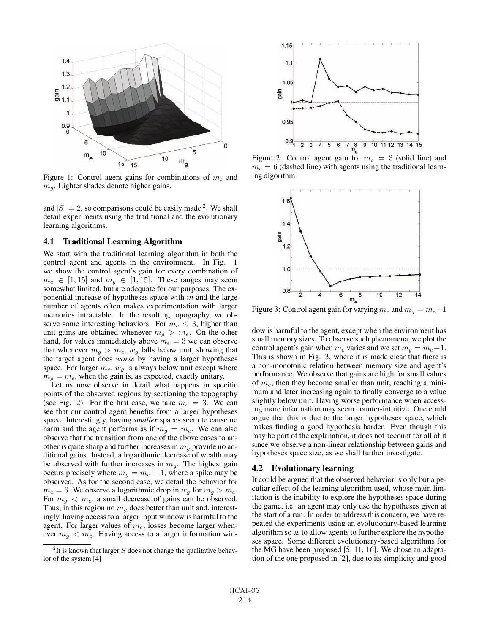

Figure 1: Control agent gains for combinations of  $m_e$  and  $m<sub>g</sub>$ . Lighter shades denote higher gains.

and  $|S| = 2$ , so comparisons could be easily made <sup>2</sup>. We shall detail experiments using the traditional and the evolutionary learning algorithms.

#### 4.1 Traditional Learning Algorithm

We start with the traditional learning algorithm in both the control agent and agents in the environment. In Fig. 1 we show the control agent's gain for every combination of  $m_e \in [1, 15]$  and  $m_q \in [1, 15]$ . These ranges may seem somewhat limited, but are adequate for our purposes. The exponential increase of hypotheses space with  $m$  and the large number of agents often makes experimentation with larger memories intractable. In the resulting topography, we observe some interesting behaviors. For  $m_e \leq 3$ , higher than unit gains are obtained whenever  $m_g > m_e$ . On the other hand, for values immediately above  $m_e = 3$  we can observe that whenever  $m_g > m_e$ ,  $w_g$  falls below unit, showing that the target agent does *worse* by having a larger hypotheses space. For larger  $m_e$ ,  $w_g$  is always below unit except where  $m_q = m_e$ , when the gain is, as expected, exactly unitary.

Let us now observe in detail what happens in specific points of the observed regions by sectioning the topography (see Fig. 2). For the first case, we take  $m_e = 3$ . We can see that our control agent benefits from a larger hypotheses space. Interestingly, having *smaller* spaces seem to cause no harm and the agent performs as if  $m_q = m_e$ . We can also observe that the transition from one of the above cases to another is quite sharp and further increases in  $m<sub>q</sub>$  provide no additional gains. Instead, a logarithmic decrease of wealth may be observed with further increases in  $m_q$ . The highest gain occurs precisely where  $m_g = m_e + 1$ , where a spike may be observed. As for the second case, we detail the behavior for  $m_e = 6$ . We observe a logarithmic drop in  $w_q$  for  $m_q > m_e$ . For  $m_q < m_e$ , a small decrease of gains can be observed. Thus, in this region no  $m_q$  does better than unit and, interestingly, having access to a larger input window is harmful to the agent. For larger values of  $m_e$ , losses become larger whenever  $m_q < m_e$ . Having access to a larger information win-



Figure 2: Control agent gain for  $m_e = 3$  (solid line) and  $m_e = 6$  (dashed line) with agents using the traditional learning algorithm



Figure 3: Control agent gain for varying  $m_e$  and  $m_q = m_e + 1$ 

dow is harmful to the agent, except when the environment has small memory sizes. To observe such phenomena, we plot the control agent's gain when  $m_e$  varies and we set  $m_q = m_e + 1$ . This is shown in Fig. 3, where it is made clear that there is a non-monotonic relation between memory size and agent's performance. We observe that gains are high for small values of  $m_e$ , then they become smaller than unit, reaching a minimum and later increasing again to finally converge to a value slightly below unit. Having worse performance when accessing more information may seem counter-intuitive. One could argue that this is due to the larger hypotheses space, which makes finding a good hypothesis harder. Even though this may be part of the explanation, it does not account for all of it since we observe a non-linear relationship between gains and hypotheses space size, as we shall further investigate.

#### 4.2 Evolutionary learning

It could be argued that the observed behavior is only but a peculiar effect of the learning algorithm used, whose main limitation is the inability to explore the hypotheses space during the game, i.e. an agent may only use the hypotheses given at the start of a run. In order to address this concern, we have repeated the experiments using an evolutionary-based learning algorithm so as to allow agents to further explore the hypotheses space. Some different evolutionary-based algorithms for the MG have been proposed [5, 11, 16]. We chose an adaptation of the one proposed in [2], due to its simplicity and good

<sup>&</sup>lt;sup>2</sup>It is known that larger  $S$  does not change the qualitative behavior of the system [4]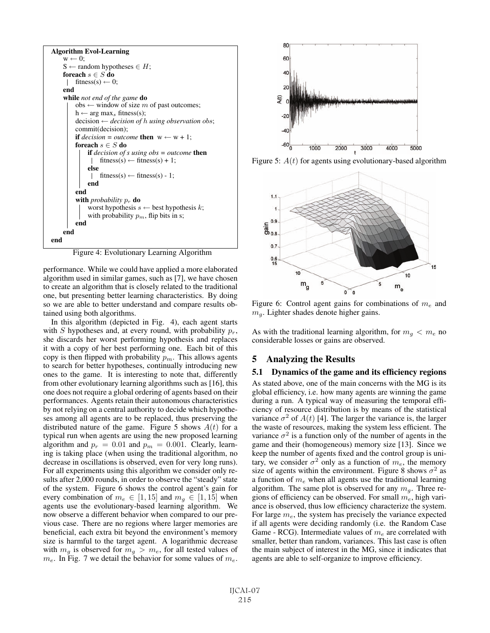

Figure 4: Evolutionary Learning Algorithm

performance. While we could have applied a more elaborated algorithm used in similar games, such as [7], we have chosen to create an algorithm that is closely related to the traditional one, but presenting better learning characteristics. By doing so we are able to better understand and compare results obtained using both algorithms.

In this algorithm (depicted in Fig. 4), each agent starts with S hypotheses and, at every round, with probability  $p_r$ , she discards her worst performing hypothesis and replaces it with a copy of her best performing one. Each bit of this copy is then flipped with probability  $p_m$ . This allows agents to search for better hypotheses, continually introducing new ones to the game. It is interesting to note that, differently from other evolutionary learning algorithms such as [16], this one does not require a global ordering of agents based on their performances. Agents retain their autonomous characteristics by not relying on a central authority to decide which hypotheses among all agents are to be replaced, thus preserving the distributed nature of the game. Figure 5 shows  $A(t)$  for a typical run when agents are using the new proposed learning algorithm and  $p_r = 0.01$  and  $p_m = 0.001$ . Clearly, learning is taking place (when using the traditional algorithm, no decrease in oscillations is observed, even for very long runs). For all experiments using this algorithm we consider only results after 2,000 rounds, in order to observe the "steady" state of the system. Figure 6 shows the control agent's gain for every combination of  $m_e \in [1, 15]$  and  $m_q \in [1, 15]$  when agents use the evolutionary-based learning algorithm. We now observe a different behavior when compared to our previous case. There are no regions where larger memories are beneficial, each extra bit beyond the environment's memory size is harmful to the target agent. A logarithmic decrease with  $m_q$  is observed for  $m_q > m_e$ , for all tested values of  $m_e$ . In Fig. 7 we detail the behavior for some values of  $m_e$ .



Figure 5:  $A(t)$  for agents using evolutionary-based algorithm



Figure 6: Control agent gains for combinations of  $m_e$  and  $m_q$ . Lighter shades denote higher gains.

As with the traditional learning algorithm, for  $m_q < m_e$  no considerable losses or gains are observed.

# 5 Analyzing the Results

#### 5.1 Dynamics of the game and its efficiency regions

As stated above, one of the main concerns with the MG is its global efficiency, i.e. how many agents are winning the game during a run. A typical way of measuring the temporal efficiency of resource distribution is by means of the statistical variance  $\sigma^2$  of  $A(t)$  [4]. The larger the variance is, the larger the waste of resources, making the system less efficient. The variance  $\sigma^2$  is a function only of the number of agents in the game and their (homogeneous) memory size [13]. Since we keep the number of agents fixed and the control group is unitary, we consider  $\sigma^2$  only as a function of  $m_e$ , the memory size of agents within the environment. Figure 8 shows  $\sigma^2$  as a function of  $m_e$  when all agents use the traditional learning algorithm. The same plot is observed for any  $m_q$ . Three regions of efficiency can be observed. For small  $m_e$ , high variance is observed, thus low efficiency characterize the system. For large  $m_e$ , the system has precisely the variance expected if all agents were deciding randomly (i.e. the Random Case Game - RCG). Intermediate values of  $m_e$  are correlated with smaller, better than random, variances. This last case is often the main subject of interest in the MG, since it indicates that agents are able to self-organize to improve efficiency.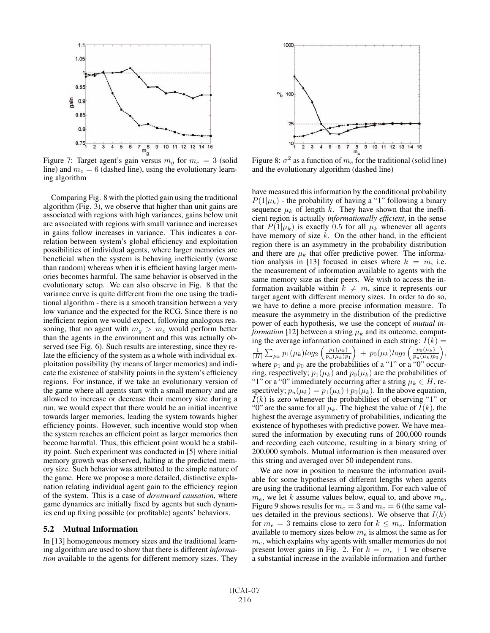

Figure 7: Target agent's gain versus  $m<sub>g</sub>$  for  $m<sub>e</sub> = 3$  (solid line) and  $m_e = 6$  (dashed line), using the evolutionary learning algorithm

Comparing Fig. 8 with the plotted gain using the traditional algorithm (Fig. 3), we observe that higher than unit gains are associated with regions with high variances, gains below unit are associated with regions with small variance and increases in gains follow increases in variance. This indicates a correlation between system's global efficiency and exploitation possibilities of individual agents, where larger memories are beneficial when the system is behaving inefficiently (worse than random) whereas when it is efficient having larger memories becomes harmful. The same behavior is observed in the evolutionary setup. We can also observe in Fig. 8 that the variance curve is quite different from the one using the traditional algorithm - there is a smooth transition between a very low variance and the expected for the RCG. Since there is no inefficient region we would expect, following analogous reasoning, that no agent with  $m_g > m_e$  would perform better than the agents in the environment and this was actually observed (see Fig. 6). Such results are interesting, since they relate the efficiency of the system as a whole with individual exploitation possibility (by means of larger memories) and indicate the existence of stability points in the system's efficiency regions. For instance, if we take an evolutionary version of the game where all agents start with a small memory and are allowed to increase or decrease their memory size during a run, we would expect that there would be an initial incentive towards larger memories, leading the system towards higher efficiency points. However, such incentive would stop when the system reaches an efficient point as larger memories then become harmful. Thus, this efficient point would be a stability point. Such experiment was conducted in [5] where initial memory growth was observed, halting at the predicted memory size. Such behavior was attributed to the simple nature of the game. Here we propose a more detailed, distinctive explanation relating individual agent gain to the efficiency region of the system. This is a case of *downward causation*, where game dynamics are initially fixed by agents but such dynamics end up fixing possible (or profitable) agents' behaviors.

#### 5.2 Mutual Information

In [13] homogeneous memory sizes and the traditional learning algorithm are used to show that there is different *information* available to the agents for different memory sizes. They



Figure 8:  $\sigma^2$  as a function of  $m_e$  for the traditional (solid line) and the evolutionary algorithm (dashed line)

have measured this information by the conditional probability  $P(1|\mu_k)$  - the probability of having a "1" following a binary sequence  $\mu_k$  of length k. They have shown that the inefficient region is actually *informationally efficient*, in the sense that  $P(1|\mu_k)$  is exactly 0.5 for all  $\mu_k$  whenever all agents have memory of size  $k$ . On the other hand, in the efficient region there is an asymmetry in the probability distribution and there are  $\mu_k$  that offer predictive power. The information analysis in [13] focused in cases where  $k = m$ , i.e. the measurement of information available to agents with the same memory size as their peers. We wish to access the information available within  $k \neq m$ , since it represents our target agent with different memory sizes. In order to do so, we have to define a more precise information measure. To measure the asymmetry in the distribution of the predictive power of each hypothesis, we use the concept of *mutual information* [12] between a string  $\mu_k$  and its outcome, computing the average information contained in each string:  $I(k) =$ 1  $\frac{1}{|H|} \sum_{\mu_k} p_1(\mu_k) log_2\left(\frac{p_1(\mu_k)}{p_u(\mu_k)p}\right)$  $p_u(\mu_k)p_1$ <br>a nuclear  $\frac{1}{p_0(\mu_k)} + p_0(\mu_k)log_2\left(\frac{p_0(\mu_k)}{p_u(\mu_k)p}\right)$  $p_u(\mu_k)p_0$ <br> $\cdots$  , where  $p_1$  and  $p_0$  are the probabilities of a "1" or a "0" occur-<br>ring respectively:  $p_1(\mu_k)$  and  $p_0(\mu_k)$  are the probabilities of ring, respectively;  $p_1(\mu_k)$  and  $p_0(\mu_k)$  are the probabilities of "1" or a "0" immediately occurring after a string  $\mu_k \in H$ , respectively;  $p_u(\mu_k) = p_1(\mu_k) + p_0(\mu_k)$ . In the above equation,  $I(k)$  is zero whenever the probabilities of observing "1" or "0" are the same for all  $\mu_k$ . The highest the value of  $I(k)$ , the highest the average asymmetry of probabilities, indicating the existence of hypotheses with predictive power. We have measured the information by executing runs of 200,000 rounds and recording each outcome, resulting in a binary string of 200,000 symbols. Mutual information is then measured over this string and averaged over 50 independent runs.

We are now in position to measure the information available for some hypotheses of different lengths when agents are using the traditional learning algorithm. For each value of  $m_e$ , we let k assume values below, equal to, and above  $m_e$ . Figure 9 shows results for  $m_e = 3$  and  $m_e = 6$  (the same values detailed in the previous sections). We observe that  $I(k)$ for  $m_e = 3$  remains close to zero for  $k \leq m_e$ . Information available to memory sizes below  $m_e$  is almost the same as for  $m_e$ , which explains why agents with smaller memories do not present lower gains in Fig. 2. For  $k = m_e + 1$  we observe a substantial increase in the available information and further